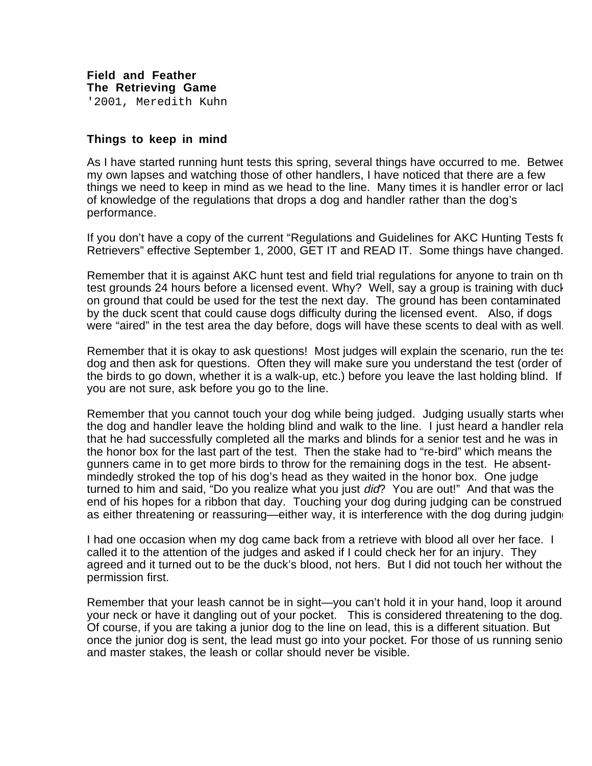**Things to keep in mind**

As I have started running hunt tests this spring, several things have occurred to me. Betwee my own lapses and watching those of other handlers, I have noticed that there are a few things we need to keep in mind as we head to the line. Many times it is handler error or lacl of knowledge of the regulations that drops a dog and handler rather than the dog's performance.

If you don't have a copy of the current "Regulations and Guidelines for AKC Hunting Tests for Retrievers" effective September 1, 2000, GET IT and READ IT. Some things have changed.

Remember that it is against AKC hunt test and field trial regulations for anyone to train on th test grounds 24 hours before a licensed event. Why? Well, say a group is training with duck on ground that could be used for the test the next day. The ground has been contaminated by the duck scent that could cause dogs difficulty during the licensed event. Also, if dogs were "aired" in the test area the day before, dogs will have these scents to deal with as well.

Remember that it is okay to ask questions! Most judges will explain the scenario, run the tes dog and then ask for questions. Often they will make sure you understand the test (order of the birds to go down, whether it is a walk-up, etc.) before you leave the last holding blind. If you are not sure, ask before you go to the line.

Remember that you cannot touch your dog while being judged. Judging usually starts when the dog and handler leave the holding blind and walk to the line. I just heard a handler rela that he had successfully completed all the marks and blinds for a senior test and he was in the honor box for the last part of the test. Then the stake had to "re-bird" which means the gunners came in to get more birds to throw for the remaining dogs in the test. He absentmindedly stroked the top of his dog's head as they waited in the honor box. One judge turned to him and said, "Do you realize what you just did? You are out!" And that was the end of his hopes for a ribbon that day. Touching your dog during judging can be construed as either threatening or reassuring—either way, it is interference with the dog during judging

I had one occasion when my dog came back from a retrieve with blood all over her face. I called it to the attention of the judges and asked if I could check her for an injury. They agreed and it turned out to be the duck's blood, not hers. But I did not touch her without the permission first.

Remember that your leash cannot be in sight—you can't hold it in your hand, loop it around your neck or have it dangling out of your pocket. This is considered threatening to the dog. Of course, if you are taking a junior dog to the line on lead, this is a different situation. But once the junior dog is sent, the lead must go into your pocket. For those of us running senio and master stakes, the leash or collar should never be visible.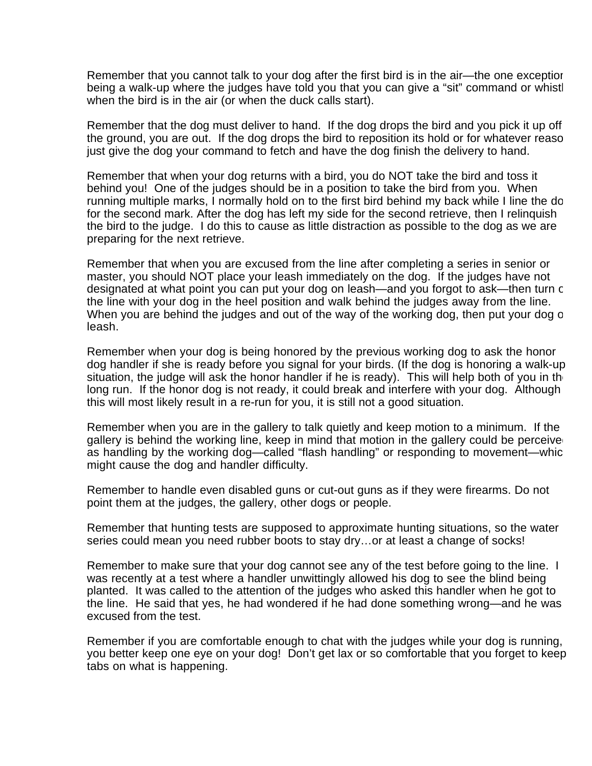Remember that you cannot talk to your dog after the first bird is in the air—the one exception being a walk-up where the judges have told you that you can give a "sit" command or whistl when the bird is in the air (or when the duck calls start).

Remember that the dog must deliver to hand. If the dog drops the bird and you pick it up off the ground, you are out. If the dog drops the bird to reposition its hold or for whatever reaso just give the dog your command to fetch and have the dog finish the delivery to hand.

Remember that when your dog returns with a bird, you do NOT take the bird and toss it behind you! One of the judges should be in a position to take the bird from you. When running multiple marks, I normally hold on to the first bird behind my back while I line the do for the second mark. After the dog has left my side for the second retrieve, then I relinquish the bird to the judge. I do this to cause as little distraction as possible to the dog as we are preparing for the next retrieve.

Remember that when you are excused from the line after completing a series in senior or master, you should NOT place your leash immediately on the dog. If the judges have not designated at what point you can put your dog on leash—and you forgot to ask—then turn c the line with your dog in the heel position and walk behind the judges away from the line. When you are behind the judges and out of the way of the working dog, then put your dog o leash.

Remember when your dog is being honored by the previous working dog to ask the honor dog handler if she is ready before you signal for your birds. (If the dog is honoring a walk-up situation, the judge will ask the honor handler if he is ready). This will help both of you in the long run. If the honor dog is not ready, it could break and interfere with your dog. Although this will most likely result in a re-run for you, it is still not a good situation.

Remember when you are in the gallery to talk quietly and keep motion to a minimum. If the gallery is behind the working line, keep in mind that motion in the gallery could be perceived as handling by the working dog—called "flash handling" or responding to movement—whic might cause the dog and handler difficulty.

Remember to handle even disabled guns or cut-out guns as if they were firearms. Do not point them at the judges, the gallery, other dogs or people.

Remember that hunting tests are supposed to approximate hunting situations, so the water series could mean you need rubber boots to stay dry…or at least a change of socks!

Remember to make sure that your dog cannot see any of the test before going to the line. I was recently at a test where a handler unwittingly allowed his dog to see the blind being planted. It was called to the attention of the judges who asked this handler when he got to the line. He said that yes, he had wondered if he had done something wrong—and he was excused from the test.

Remember if you are comfortable enough to chat with the judges while your dog is running, you better keep one eye on your dog! Don't get lax or so comfortable that you forget to keep tabs on what is happening.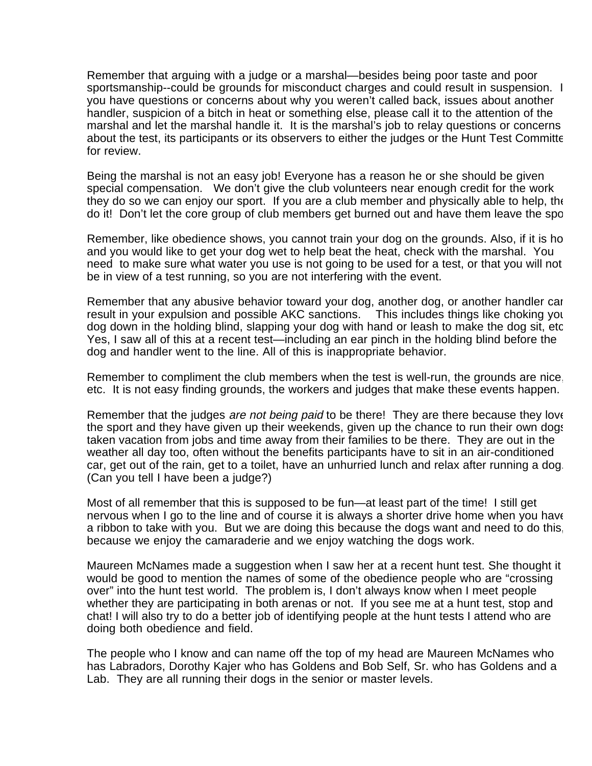Remember that arguing with a judge or a marshal—besides being poor taste and poor sportsmanship--could be grounds for misconduct charges and could result in suspension. I you have questions or concerns about why you weren't called back, issues about another handler, suspicion of a bitch in heat or something else, please call it to the attention of the marshal and let the marshal handle it. It is the marshal's job to relay questions or concerns about the test, its participants or its observers to either the judges or the Hunt Test Committe for review.

Being the marshal is not an easy job! Everyone has a reason he or she should be given special compensation. We don't give the club volunteers near enough credit for the work they do so we can enjoy our sport. If you are a club member and physically able to help, the do it! Don't let the core group of club members get burned out and have them leave the spo

Remember, like obedience shows, you cannot train your dog on the grounds. Also, if it is ho and you would like to get your dog wet to help beat the heat, check with the marshal. You need to make sure what water you use is not going to be used for a test, or that you will not be in view of a test running, so you are not interfering with the event.

Remember that any abusive behavior toward your dog, another dog, or another handler can result in your expulsion and possible AKC sanctions. This includes things like choking you dog down in the holding blind, slapping your dog with hand or leash to make the dog sit, etc Yes, I saw all of this at a recent test—including an ear pinch in the holding blind before the dog and handler went to the line. All of this is inappropriate behavior.

Remember to compliment the club members when the test is well-run, the grounds are nice, etc. It is not easy finding grounds, the workers and judges that make these events happen.

Remember that the judges are not being paid to be there! They are there because they love the sport and they have given up their weekends, given up the chance to run their own dogs taken vacation from jobs and time away from their families to be there. They are out in the weather all day too, often without the benefits participants have to sit in an air-conditioned car, get out of the rain, get to a toilet, have an unhurried lunch and relax after running a dog. (Can you tell I have been a judge?)

Most of all remember that this is supposed to be fun—at least part of the time! I still get nervous when I go to the line and of course it is always a shorter drive home when you have a ribbon to take with you. But we are doing this because the dogs want and need to do this, because we enjoy the camaraderie and we enjoy watching the dogs work.

Maureen McNames made a suggestion when I saw her at a recent hunt test. She thought it would be good to mention the names of some of the obedience people who are "crossing over" into the hunt test world. The problem is, I don't always know when I meet people whether they are participating in both arenas or not. If you see me at a hunt test, stop and chat! I will also try to do a better job of identifying people at the hunt tests I attend who are doing both obedience and field.

The people who I know and can name off the top of my head are Maureen McNames who has Labradors, Dorothy Kajer who has Goldens and Bob Self, Sr. who has Goldens and a Lab. They are all running their dogs in the senior or master levels.